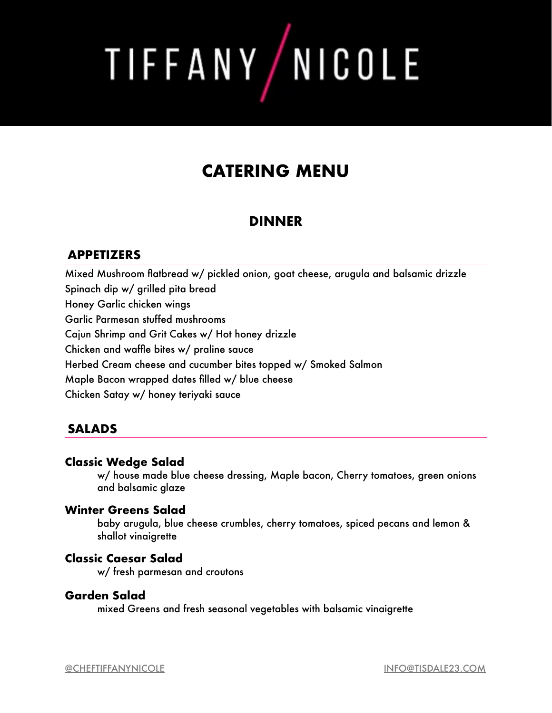TIFFANY/NICOLE

# **CATERING MENU**

# **DINNER**

# **APPETIZERS**

Mixed Mushroom flatbread w/ pickled onion, goat cheese, arugula and balsamic drizzle Spinach dip w/ grilled pita bread Honey Garlic chicken wings Garlic Parmesan stuffed mushrooms Cajun Shrimp and Grit Cakes w/ Hot honey drizzle Chicken and waffle bites w/ praline sauce Herbed Cream cheese and cucumber bites topped w/ Smoked Salmon Maple Bacon wrapped dates filled w/ blue cheese Chicken Satay w/ honey teriyaki sauce

# **SALADS**

### **Classic Wedge Salad**

w/ house made blue cheese dressing, Maple bacon, Cherry tomatoes, green onions and balsamic glaze

### **Winter Greens Salad**

baby arugula, blue cheese crumbles, cherry tomatoes, spiced pecans and lemon & shallot vinaigrette

## **Classic Caesar Salad**

w/ fresh parmesan and croutons

#### **Garden Salad**

mixed Greens and fresh seasonal vegetables with balsamic vinaigrette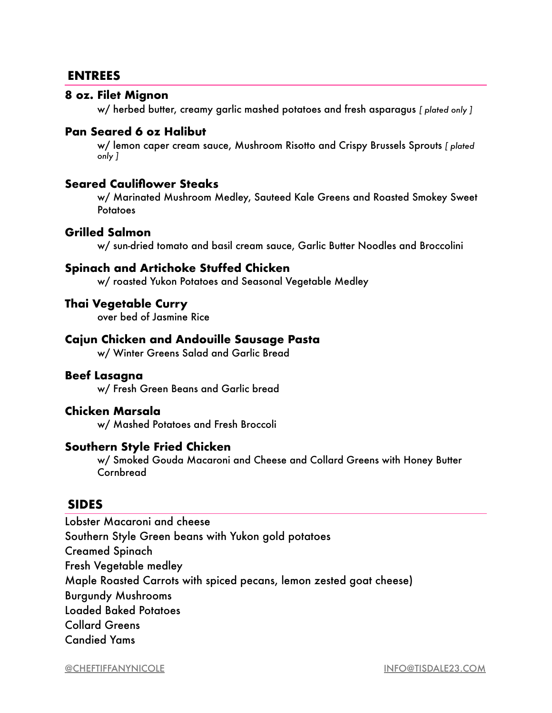# **ENTREES**

#### **8 oz. Filet Mignon**

w/ herbed butter, creamy garlic mashed potatoes and fresh asparagus *[ plated only ]* 

#### **Pan Seared 6 oz Halibut**

w/ lemon caper cream sauce, Mushroom Risotto and Crispy Brussels Sprouts *[ plated only ]* 

#### **Seared Cauliflower Steaks**

w/ Marinated Mushroom Medley, Sauteed Kale Greens and Roasted Smokey Sweet **Potatoes** 

#### **Grilled Salmon**

w/ sun-dried tomato and basil cream sauce, Garlic Butter Noodles and Broccolini

#### **Spinach and Artichoke Stuffed Chicken**

w/ roasted Yukon Potatoes and Seasonal Vegetable Medley

#### **Thai Vegetable Curry**

over bed of Jasmine Rice

#### **Cajun Chicken and Andouille Sausage Pasta**

w/ Winter Greens Salad and Garlic Bread

#### **Beef Lasagna**

w/ Fresh Green Beans and Garlic bread

#### **Chicken Marsala**

w/ Mashed Potatoes and Fresh Broccoli

#### **Southern Style Fried Chicken**

w/ Smoked Gouda Macaroni and Cheese and Collard Greens with Honey Butter Cornbread

#### **SIDES**

Lobster Macaroni and cheese Southern Style Green beans with Yukon gold potatoes Creamed Spinach Fresh Vegetable medley Maple Roasted Carrots with spiced pecans, lemon zested goat cheese) Burgundy Mushrooms Loaded Baked Potatoes Collard Greens Candied Yams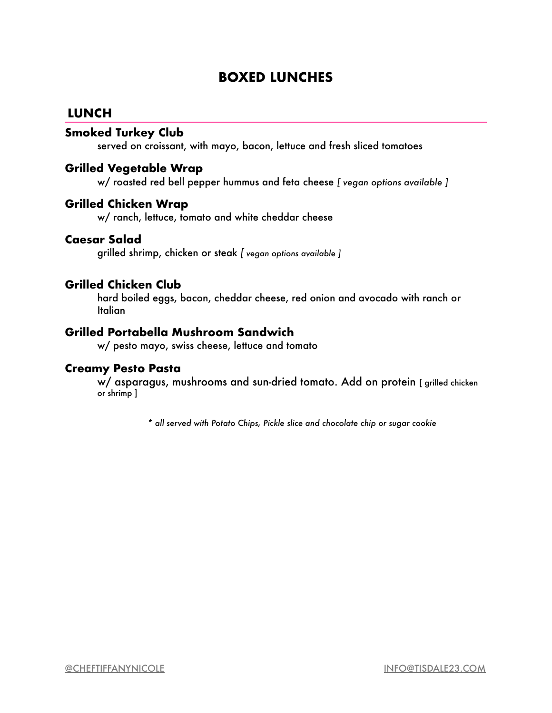# **BOXED LUNCHES**

## **LUNCH**

#### **Smoked Turkey Club**

served on croissant, with mayo, bacon, lettuce and fresh sliced tomatoes

#### **Grilled Vegetable Wrap**

w/ roasted red bell pepper hummus and feta cheese *[ vegan options available ]* 

#### **Grilled Chicken Wrap**

w/ ranch, lettuce, tomato and white cheddar cheese

#### **Caesar Salad**

grilled shrimp, chicken or steak *[ vegan options available ]*

#### **Grilled Chicken Club**

hard boiled eggs, bacon, cheddar cheese, red onion and avocado with ranch or **Italian** 

#### **Grilled Portabella Mushroom Sandwich**

w/ pesto mayo, swiss cheese, lettuce and tomato

#### **Creamy Pesto Pasta**

w/ asparagus, mushrooms and sun-dried tomato. Add on protein [ grilled chicken or shrimp ]

*\* all served with Potato Chips, Pickle slice and chocolate chip or sugar cookie*